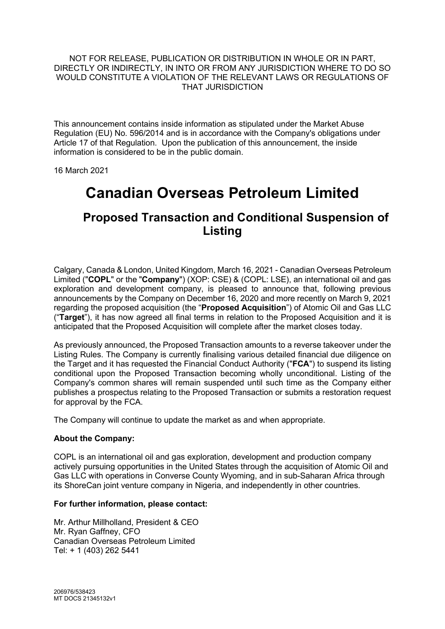### NOT FOR RELEASE, PUBLICATION OR DISTRIBUTION IN WHOLE OR IN PART, DIRECTLY OR INDIRECTLY, IN INTO OR FROM ANY JURISDICTION WHERE TO DO SO WOULD CONSTITUTE A VIOLATION OF THE RELEVANT LAWS OR REGULATIONS OF THAT JURISDICTION

This announcement contains inside information as stipulated under the Market Abuse Regulation (EU) No. 596/2014 and is in accordance with the Company's obligations under Article 17 of that Regulation. Upon the publication of this announcement, the inside information is considered to be in the public domain.

16 March 2021

# **Canadian Overseas Petroleum Limited**

## **Proposed Transaction and Conditional Suspension of Listing**

Calgary, Canada & London, United Kingdom, March 16, 2021 - Canadian Overseas Petroleum Limited ("**COPL**" or the "**Company**") (XOP: CSE) & (COPL: LSE), an international oil and gas exploration and development company, is pleased to announce that, following previous announcements by the Company on December 16, 2020 and more recently on March 9, 2021 regarding the proposed acquisition (the "**Proposed Acquisition**") of Atomic Oil and Gas LLC ("**Target**"), it has now agreed all final terms in relation to the Proposed Acquisition and it is anticipated that the Proposed Acquisition will complete after the market closes today.

As previously announced, the Proposed Transaction amounts to a reverse takeover under the Listing Rules. The Company is currently finalising various detailed financial due diligence on the Target and it has requested the Financial Conduct Authority ("**FCA**") to suspend its listing conditional upon the Proposed Transaction becoming wholly unconditional. Listing of the Company's common shares will remain suspended until such time as the Company either publishes a prospectus relating to the Proposed Transaction or submits a restoration request for approval by the FCA.

The Company will continue to update the market as and when appropriate.

### **About the Company:**

COPL is an international oil and gas exploration, development and production company actively pursuing opportunities in the United States through the acquisition of Atomic Oil and Gas LLC with operations in Converse County Wyoming, and in sub-Saharan Africa through its ShoreCan joint venture company in Nigeria, and independently in other countries.

### **For further information, please contact:**

Mr. Arthur Millholland, President & CEO Mr. Ryan Gaffney, CFO Canadian Overseas Petroleum Limited Tel: + 1 (403) 262 5441